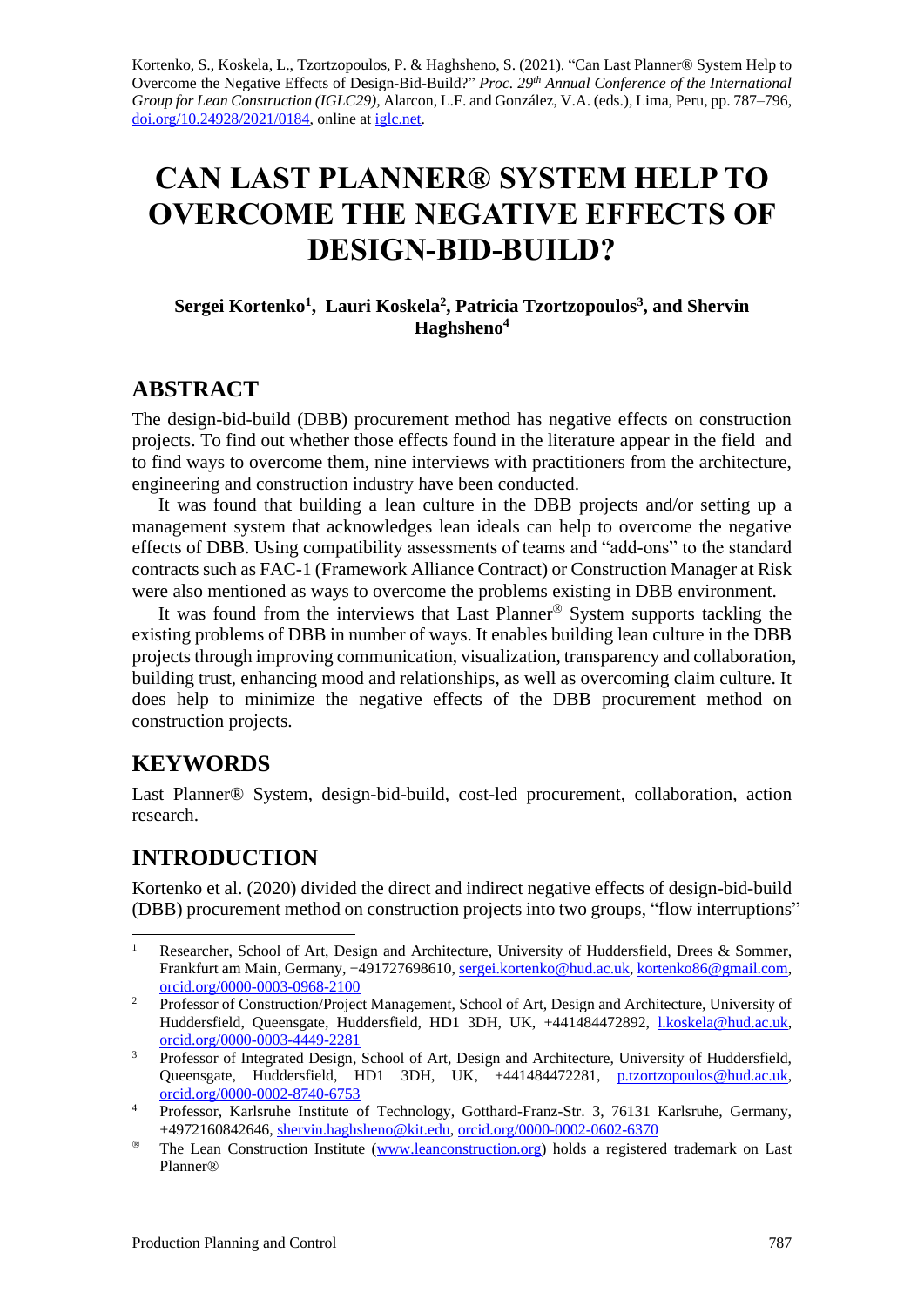Kortenko, S., Koskela, L., Tzortzopoulos, P. & Haghsheno, S. (2021). "Can Last Planner® System Help to Overcome the Negative Effects of Design-Bid-Build?" *Proc. 29 th Annual Conference of the International Group for Lean Construction (IGLC29),* Alarcon, L.F. and González, V.A. (eds.)*,* Lima, Peru, pp. 787–796, [doi.org/10.24928/2021/0184,](https://doi.org/10.24928/2021/0184) online a[t iglc.net.](http://iglc.net/)

# **CAN LAST PLANNER® SYSTEM HELP TO OVERCOME THE NEGATIVE EFFECTS OF DESIGN-BID-BUILD?**

#### **Sergei Kortenko<sup>1</sup> , Lauri Koskela<sup>2</sup> , Patricia Tzortzopoulos<sup>3</sup> , and Shervin Haghsheno<sup>4</sup>**

## **ABSTRACT**

The design-bid-build (DBB) procurement method has negative effects on construction projects. To find out whether those effects found in the literature appear in the field and to find ways to overcome them, nine interviews with practitioners from the architecture, engineering and construction industry have been conducted.

It was found that building a lean culture in the DBB projects and/or setting up a management system that acknowledges lean ideals can help to overcome the negative effects of DBB. Using compatibility assessments of teams and "add-ons" to the standard contracts such as FAC-1 (Framework Alliance Contract) or Construction Manager at Risk were also mentioned as ways to overcome the problems existing in DBB environment.

It was found from the interviews that Last Planner<sup>®</sup> System supports tackling the existing problems of DBB in number of ways. It enables building lean culture in the DBB projects through improving communication, visualization, transparency and collaboration, building trust, enhancing mood and relationships, as well as overcoming claim culture. It does help to minimize the negative effects of the DBB procurement method on construction projects.

## **KEYWORDS**

Last Planner® System, design-bid-build, cost-led procurement, collaboration, action research.

## **INTRODUCTION**

Kortenko et al. (2020) divided the direct and indirect negative effects of design-bid-build (DBB) procurement method on construction projects into two groups, "flow interruptions"

<sup>&</sup>lt;sup>1</sup> Researcher, School of Art, Design and Architecture, University of Huddersfield, Drees & Sommer, Frankfurt am Main, Germany, +491727698610[, sergei.kortenko@hud.ac.uk,](mailto:sergei.kortenko@hud.ac.uk) [kortenko86@gmail.com,](mailto:kortenko86@gmail.com) [orcid.org/0000-0003-0968-2100](https://orcid.org/0000-0003-0968-2100)

<sup>&</sup>lt;sup>2</sup> Professor of Construction/Project Management, School of Art, Design and Architecture, University of Huddersfield, Queensgate, Huddersfield, HD1 3DH, UK, +441484472892, [l.koskela@hud.ac.uk,](mailto:l.koskela@hud.ac.uk) [orcid.org/0000-0003-4449-2281](https://orcid.org/0000-0003-4449-2281)

<sup>&</sup>lt;sup>3</sup> Professor of Integrated Design, School of Art, Design and Architecture, University of Huddersfield, Queensgate, Huddersfield, HD1 3DH, UK, +441484472281, [p.tzortzopoulos@hud.ac.uk,](mailto:p.tzortzopoulos@hud.ac.uk) [orcid.org/0000-0002-8740-6753](https://orcid.org/0000-0002-8740-6753)

<sup>&</sup>lt;sup>4</sup> Professor, Karlsruhe Institute of Technology, Gotthard-Franz-Str. 3, 76131 Karlsruhe, Germany, +4972160842646[, shervin.haghsheno@kit.edu,](mailto:shervin.haghsheno@kit.edu) [orcid.org/0000-0002-0602-6370](https://orcid.org/0000-0002-0602-6370)

<sup>&</sup>lt;sup>®</sup> The Lean Construction Institute [\(www.leanconstruction.org\)](http://www.leanconstruction.org/) holds a registered trademark on Last Planner®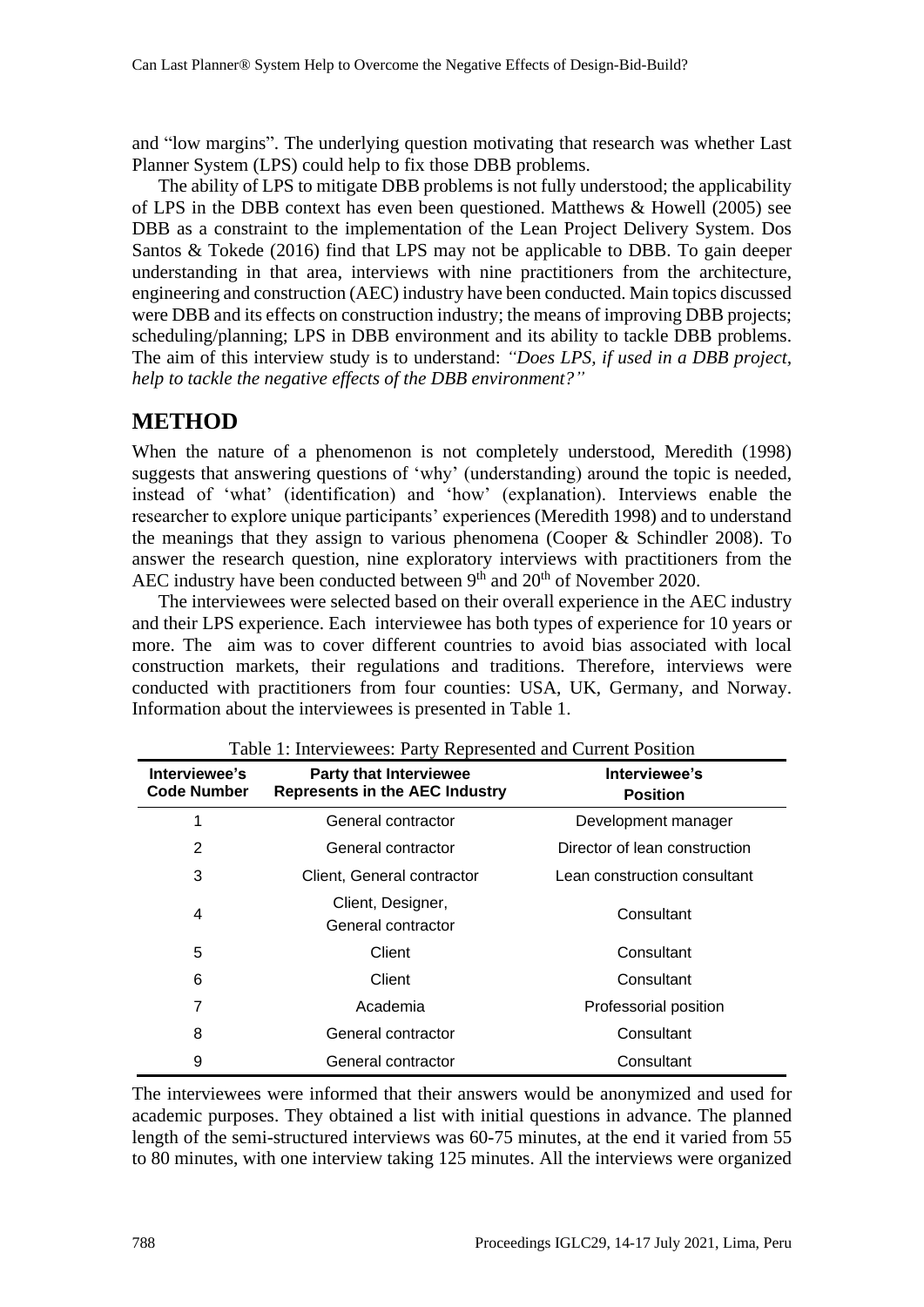and "low margins". The underlying question motivating that research was whether Last Planner System (LPS) could help to fix those DBB problems.

The ability of LPS to mitigate DBB problems is not fully understood; the applicability of LPS in the DBB context has even been questioned. Matthews & Howell (2005) see DBB as a constraint to the implementation of the Lean Project Delivery System. Dos Santos & Tokede (2016) find that LPS may not be applicable to DBB. To gain deeper understanding in that area, interviews with nine practitioners from the architecture, engineering and construction (AEC) industry have been conducted. Main topics discussed were DBB and its effects on construction industry; the means of improving DBB projects; scheduling/planning; LPS in DBB environment and its ability to tackle DBB problems. The aim of this interview study is to understand: *"Does LPS, if used in a DBB project, help to tackle the negative effects of the DBB environment?"*

## **METHOD**

When the nature of a phenomenon is not completely understood, Meredith (1998) suggests that answering questions of 'why' (understanding) around the topic is needed, instead of 'what' (identification) and 'how' (explanation). Interviews enable the researcher to explore unique participants' experiences (Meredith 1998) and to understand the meanings that they assign to various phenomena (Cooper & Schindler 2008). To answer the research question, nine exploratory interviews with practitioners from the AEC industry have been conducted between  $9<sup>th</sup>$  and  $20<sup>th</sup>$  of November 2020.

The interviewees were selected based on their overall experience in the AEC industry and their LPS experience. Each interviewee has both types of experience for 10 years or more. The aim was to cover different countries to avoid bias associated with local construction markets, their regulations and traditions. Therefore, interviews were conducted with practitioners from four counties: USA, UK, Germany, and Norway. Information about the interviewees is presented in Table 1.

| Interviewee's<br><b>Code Number</b> | <b>Party that Interviewee</b><br><b>Represents in the AEC Industry</b> | Interviewee's<br><b>Position</b> |
|-------------------------------------|------------------------------------------------------------------------|----------------------------------|
| 1                                   | General contractor                                                     | Development manager              |
| $\overline{2}$                      | General contractor                                                     | Director of lean construction    |
| 3                                   | Client, General contractor                                             | Lean construction consultant     |
| 4                                   | Client, Designer,<br>General contractor                                | Consultant                       |
| 5                                   | Client                                                                 | Consultant                       |
| 6                                   | Client                                                                 | Consultant                       |
| 7                                   | Academia                                                               | Professorial position            |
| 8                                   | General contractor                                                     | Consultant                       |
| 9                                   | General contractor                                                     | Consultant                       |

Table 1: Interviewees: Party Represented and Current Position

The interviewees were informed that their answers would be anonymized and used for academic purposes. They obtained a list with initial questions in advance. The planned length of the semi-structured interviews was 60-75 minutes, at the end it varied from 55 to 80 minutes, with one interview taking 125 minutes. All the interviews were organized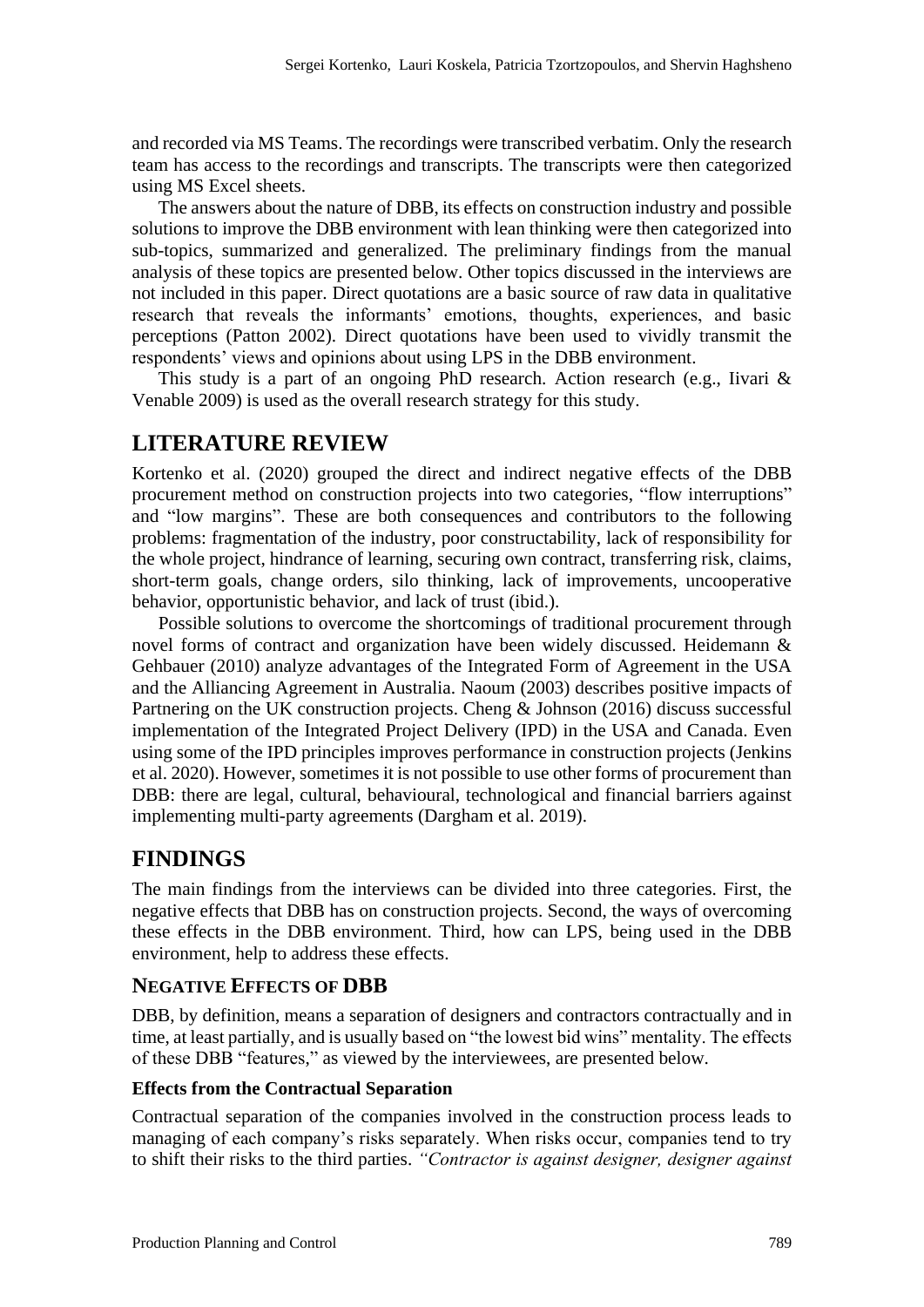and recorded via MS Teams. The recordings were transcribed verbatim. Only the research team has access to the recordings and transcripts. The transcripts were then categorized using MS Excel sheets.

The answers about the nature of DBB, its effects on construction industry and possible solutions to improve the DBB environment with lean thinking were then categorized into sub-topics, summarized and generalized. The preliminary findings from the manual analysis of these topics are presented below. Other topics discussed in the interviews are not included in this paper. Direct quotations are a basic source of raw data in qualitative research that reveals the informants' emotions, thoughts, experiences, and basic perceptions (Patton 2002). Direct quotations have been used to vividly transmit the respondents' views and opinions about using LPS in the DBB environment.

This study is a part of an ongoing PhD research. Action research (e.g., Iivari & Venable 2009) is used as the overall research strategy for this study.

## **LITERATURE REVIEW**

Kortenko et al. (2020) grouped the direct and indirect negative effects of the DBB procurement method on construction projects into two categories, "flow interruptions" and "low margins". These are both consequences and contributors to the following problems: fragmentation of the industry, poor constructability, lack of responsibility for the whole project, hindrance of learning, securing own contract, transferring risk, claims, short-term goals, change orders, silo thinking, lack of improvements, uncooperative behavior, opportunistic behavior, and lack of trust (ibid.).

Possible solutions to overcome the shortcomings of traditional procurement through novel forms of contract and organization have been widely discussed. Heidemann & Gehbauer (2010) analyze advantages of the Integrated Form of Agreement in the USA and the Alliancing Agreement in Australia. Naoum (2003) describes positive impacts of Partnering on the UK construction projects. Cheng & Johnson (2016) discuss successful implementation of the Integrated Project Delivery (IPD) in the USA and Canada. Even using some of the IPD principles improves performance in construction projects (Jenkins et al. 2020). However, sometimes it is not possible to use other forms of procurement than DBB: there are legal, cultural, behavioural, technological and financial barriers against implementing multi-party agreements (Dargham et al. 2019).

## **FINDINGS**

The main findings from the interviews can be divided into three categories. First, the negative effects that DBB has on construction projects. Second, the ways of overcoming these effects in the DBB environment. Third, how can LPS, being used in the DBB environment, help to address these effects.

#### **NEGATIVE EFFECTS OF DBB**

DBB, by definition, means a separation of designers and contractors contractually and in time, at least partially, and is usually based on "the lowest bid wins" mentality. The effects of these DBB "features," as viewed by the interviewees, are presented below.

#### **Effects from the Contractual Separation**

Contractual separation of the companies involved in the construction process leads to managing of each company's risks separately. When risks occur, companies tend to try to shift their risks to the third parties. *"Contractor is against designer, designer against*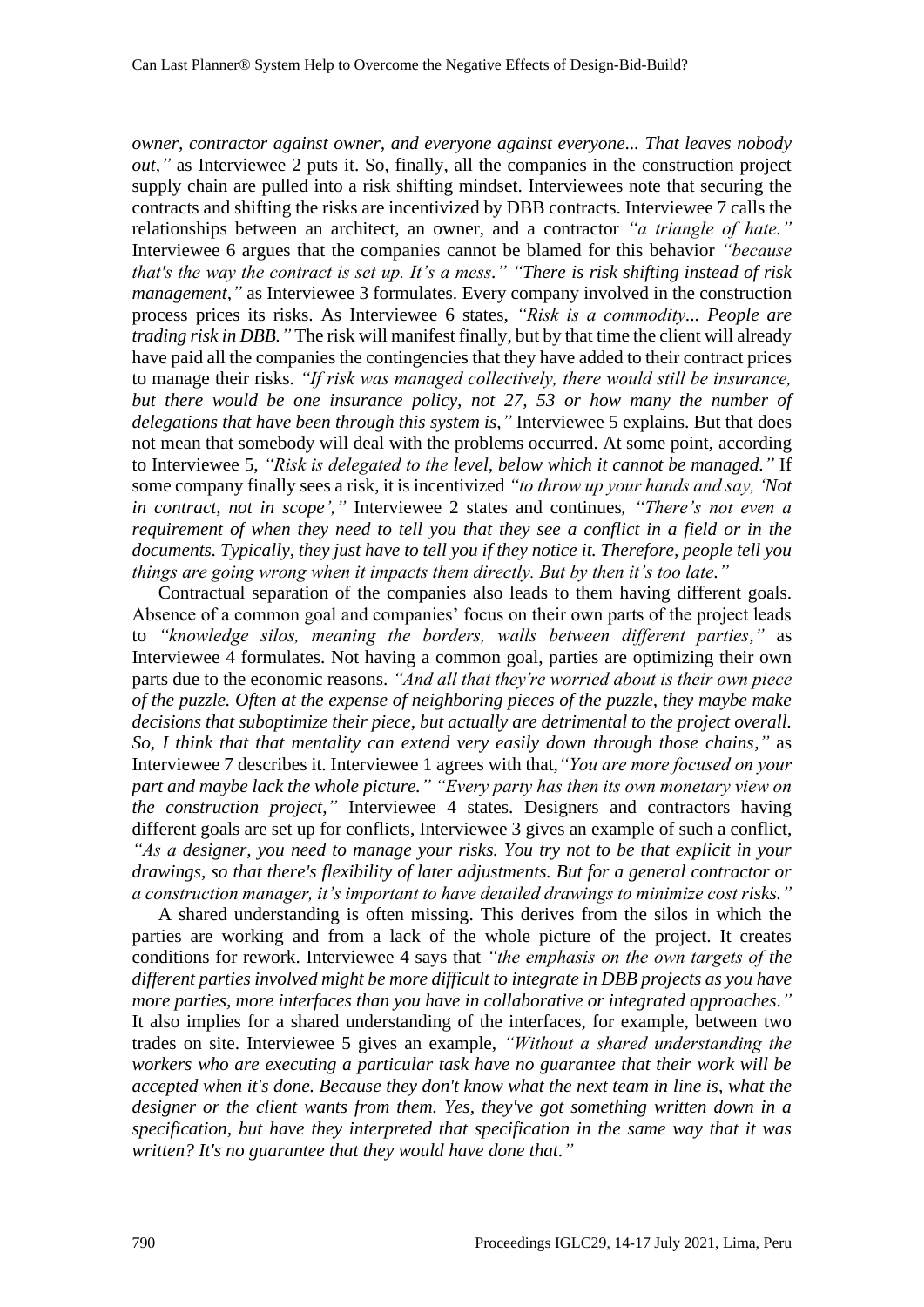*owner, contractor against owner, and everyone against everyone... That leaves nobody out,"* as Interviewee 2 puts it. So, finally, all the companies in the construction project supply chain are pulled into a risk shifting mindset. Interviewees note that securing the contracts and shifting the risks are incentivized by DBB contracts. Interviewee 7 calls the relationships between an architect, an owner, and a contractor *"a triangle of hate."* Interviewee 6 argues that the companies cannot be blamed for this behavior *"because that's the way the contract is set up. It's a mess." "There is risk shifting instead of risk management,*" as Interviewee 3 formulates. Every company involved in the construction process prices its risks. As Interviewee 6 states, *"Risk is a commodity... People are trading risk in DBB."* The risk will manifest finally, but by that time the client will already have paid all the companies the contingencies that they have added to their contract prices to manage their risks. *"If risk was managed collectively, there would still be insurance, but there would be one insurance policy, not 27, 53 or how many the number of delegations that have been through this system is,"* Interviewee 5 explains. But that does not mean that somebody will deal with the problems occurred. At some point, according to Interviewee 5, *"Risk is delegated to the level, below which it cannot be managed."* If some company finally sees a risk, it is incentivized *"to throw up your hands and say, 'Not in contract, not in scope',"* Interviewee 2 states and continues*, "There's not even a requirement of when they need to tell you that they see a conflict in a field or in the documents. Typically, they just have to tell you if they notice it. Therefore, people tell you things are going wrong when it impacts them directly. But by then it's too late."*

Contractual separation of the companies also leads to them having different goals. Absence of a common goal and companies' focus on their own parts of the project leads to *"knowledge silos, meaning the borders, walls between different parties,"* as Interviewee 4 formulates. Not having a common goal, parties are optimizing their own parts due to the economic reasons. *"And all that they're worried about is their own piece of the puzzle. Often at the expense of neighboring pieces of the puzzle, they maybe make decisions that suboptimize their piece, but actually are detrimental to the project overall. So, I think that that mentality can extend very easily down through those chains,"* as Interviewee 7 describes it. Interviewee 1 agrees with that,*"You are more focused on your part and maybe lack the whole picture." "Every party has then its own monetary view on the construction project,"* Interviewee 4 states. Designers and contractors having different goals are set up for conflicts, Interviewee 3 gives an example of such a conflict, *"As a designer, you need to manage your risks. You try not to be that explicit in your drawings, so that there's flexibility of later adjustments. But for a general contractor or a construction manager, it's important to have detailed drawings to minimize cost risks."*

A shared understanding is often missing. This derives from the silos in which the parties are working and from a lack of the whole picture of the project. It creates conditions for rework. Interviewee 4 says that *"the emphasis on the own targets of the different parties involved might be more difficult to integrate in DBB projects as you have more parties, more interfaces than you have in collaborative or integrated approaches."* It also implies for a shared understanding of the interfaces, for example, between two trades on site. Interviewee 5 gives an example, *"Without a shared understanding the workers who are executing a particular task have no guarantee that their work will be accepted when it's done. Because they don't know what the next team in line is, what the designer or the client wants from them. Yes, they've got something written down in a specification, but have they interpreted that specification in the same way that it was written? It's no guarantee that they would have done that."*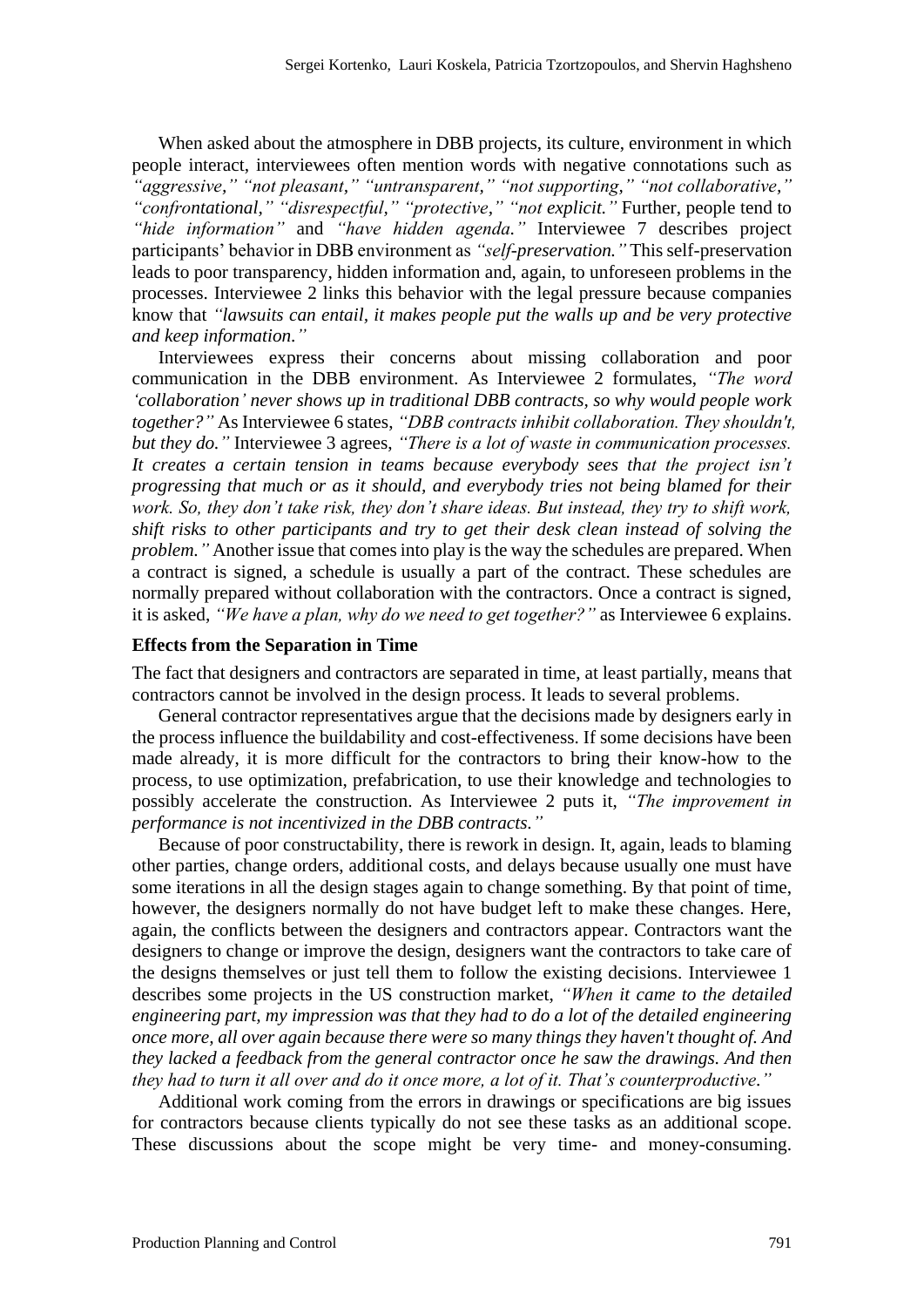When asked about the atmosphere in DBB projects, its culture, environment in which people interact, interviewees often mention words with negative connotations such as *"aggressive," "not pleasant," "untransparent," "not supporting," "not collaborative," "confrontational," "disrespectful," "protective," "not explicit."* Further, people tend to *"hide information"* and *"have hidden agenda."* Interviewee 7 describes project participants' behavior in DBB environment as *"self-preservation."* This self-preservation leads to poor transparency, hidden information and, again, to unforeseen problems in the processes. Interviewee 2 links this behavior with the legal pressure because companies know that *"lawsuits can entail, it makes people put the walls up and be very protective and keep information."*

Interviewees express their concerns about missing collaboration and poor communication in the DBB environment. As Interviewee 2 formulates, *"The word 'collaboration' never shows up in traditional DBB contracts, so why would people work together?"* As Interviewee 6 states, *"DBB contracts inhibit collaboration. They shouldn't, but they do."* Interviewee 3 agrees, *"There is a lot of waste in communication processes. It creates a certain tension in teams because everybody sees that the project isn't progressing that much or as it should, and everybody tries not being blamed for their work. So, they don't take risk, they don't share ideas. But instead, they try to shift work, shift risks to other participants and try to get their desk clean instead of solving the problem."* Another issue that comes into play is the way the schedules are prepared. When a contract is signed, a schedule is usually a part of the contract. These schedules are normally prepared without collaboration with the contractors. Once a contract is signed, it is asked, *"We have a plan, why do we need to get together?"* as Interviewee 6 explains.

#### **Effects from the Separation in Time**

The fact that designers and contractors are separated in time, at least partially, means that contractors cannot be involved in the design process. It leads to several problems.

General contractor representatives argue that the decisions made by designers early in the process influence the buildability and cost-effectiveness. If some decisions have been made already, it is more difficult for the contractors to bring their know-how to the process, to use optimization, prefabrication, to use their knowledge and technologies to possibly accelerate the construction. As Interviewee 2 puts it, *"The improvement in performance is not incentivized in the DBB contracts."*

Because of poor constructability, there is rework in design. It, again, leads to blaming other parties, change orders, additional costs, and delays because usually one must have some iterations in all the design stages again to change something. By that point of time, however, the designers normally do not have budget left to make these changes. Here, again, the conflicts between the designers and contractors appear. Contractors want the designers to change or improve the design, designers want the contractors to take care of the designs themselves or just tell them to follow the existing decisions. Interviewee 1 describes some projects in the US construction market, *"When it came to the detailed engineering part, my impression was that they had to do a lot of the detailed engineering once more, all over again because there were so many things they haven't thought of. And they lacked a feedback from the general contractor once he saw the drawings. And then they had to turn it all over and do it once more, a lot of it. That's counterproductive."*

Additional work coming from the errors in drawings or specifications are big issues for contractors because clients typically do not see these tasks as an additional scope. These discussions about the scope might be very time- and money-consuming.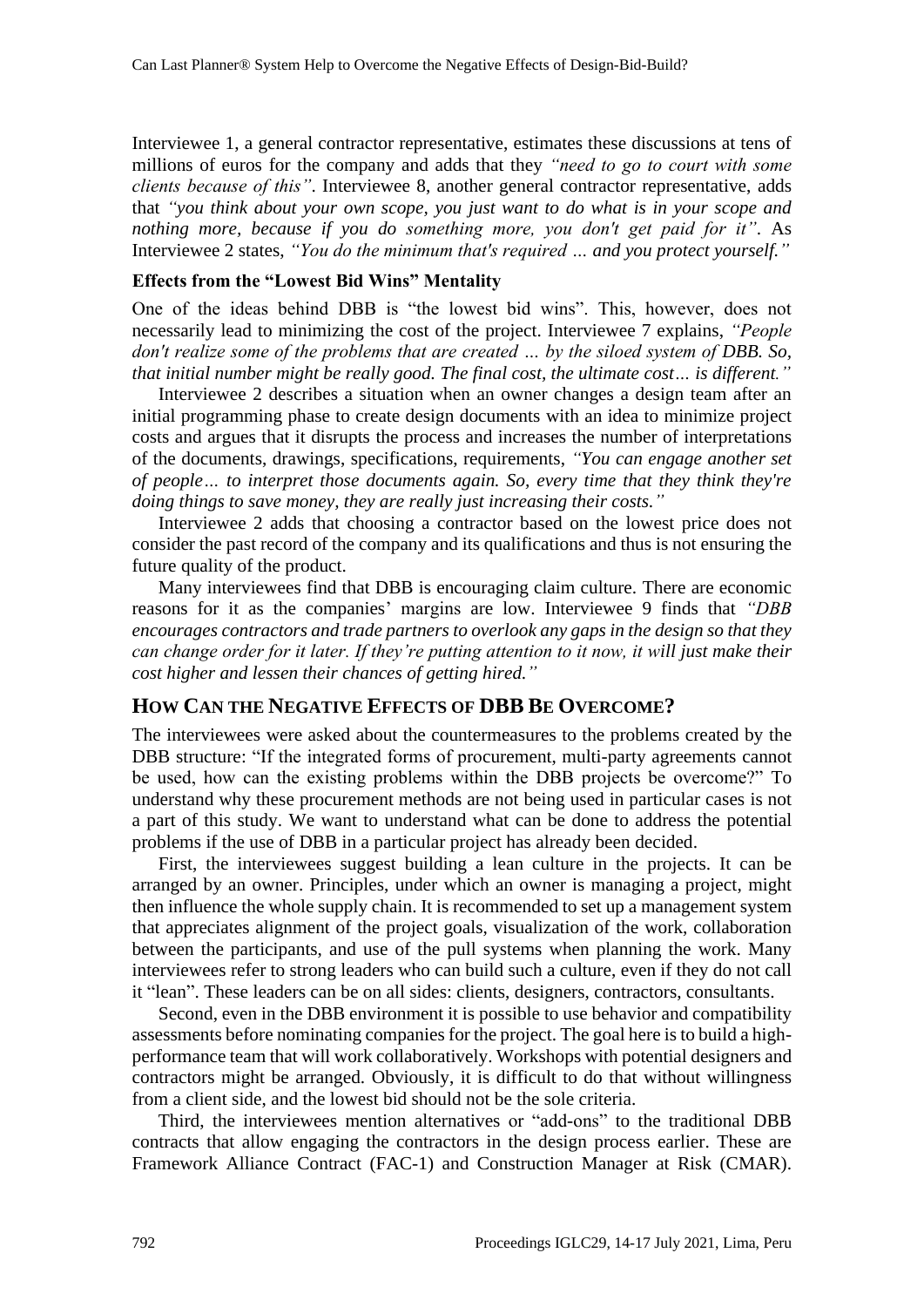Interviewee 1, a general contractor representative, estimates these discussions at tens of millions of euros for the company and adds that they *"need to go to court with some clients because of this"*. Interviewee 8, another general contractor representative, adds that *"you think about your own scope, you just want to do what is in your scope and nothing more, because if you do something more, you don't get paid for it"*. As Interviewee 2 states, *"You do the minimum that's required … and you protect yourself."*

#### **Effects from the "Lowest Bid Wins" Mentality**

One of the ideas behind DBB is "the lowest bid wins". This, however, does not necessarily lead to minimizing the cost of the project. Interviewee 7 explains, *"People don't realize some of the problems that are created … by the siloed system of DBB. So, that initial number might be really good. The final cost, the ultimate cost… is different."*

Interviewee 2 describes a situation when an owner changes a design team after an initial programming phase to create design documents with an idea to minimize project costs and argues that it disrupts the process and increases the number of interpretations of the documents, drawings, specifications, requirements, *"You can engage another set of people… to interpret those documents again. So, every time that they think they're doing things to save money, they are really just increasing their costs."*

Interviewee 2 adds that choosing a contractor based on the lowest price does not consider the past record of the company and its qualifications and thus is not ensuring the future quality of the product.

Many interviewees find that DBB is encouraging claim culture. There are economic reasons for it as the companies' margins are low. Interviewee 9 finds that *"DBB encourages contractors and trade partners to overlook any gaps in the design so that they can change order for it later. If they're putting attention to it now, it will just make their cost higher and lessen their chances of getting hired."*

#### **HOW CAN THE NEGATIVE EFFECTS OF DBB BE OVERCOME?**

The interviewees were asked about the countermeasures to the problems created by the DBB structure: "If the integrated forms of procurement, multi-party agreements cannot be used, how can the existing problems within the DBB projects be overcome?" To understand why these procurement methods are not being used in particular cases is not a part of this study. We want to understand what can be done to address the potential problems if the use of DBB in a particular project has already been decided.

First, the interviewees suggest building a lean culture in the projects. It can be arranged by an owner. Principles, under which an owner is managing a project, might then influence the whole supply chain. It is recommended to set up a management system that appreciates alignment of the project goals, visualization of the work, collaboration between the participants, and use of the pull systems when planning the work. Many interviewees refer to strong leaders who can build such a culture, even if they do not call it "lean". These leaders can be on all sides: clients, designers, contractors, consultants.

Second, even in the DBB environment it is possible to use behavior and compatibility assessments before nominating companies for the project. The goal here is to build a highperformance team that will work collaboratively. Workshops with potential designers and contractors might be arranged. Obviously, it is difficult to do that without willingness from a client side, and the lowest bid should not be the sole criteria.

Third, the interviewees mention alternatives or "add-ons" to the traditional DBB contracts that allow engaging the contractors in the design process earlier. These are Framework Alliance Contract (FAC-1) and Construction Manager at Risk (CMAR).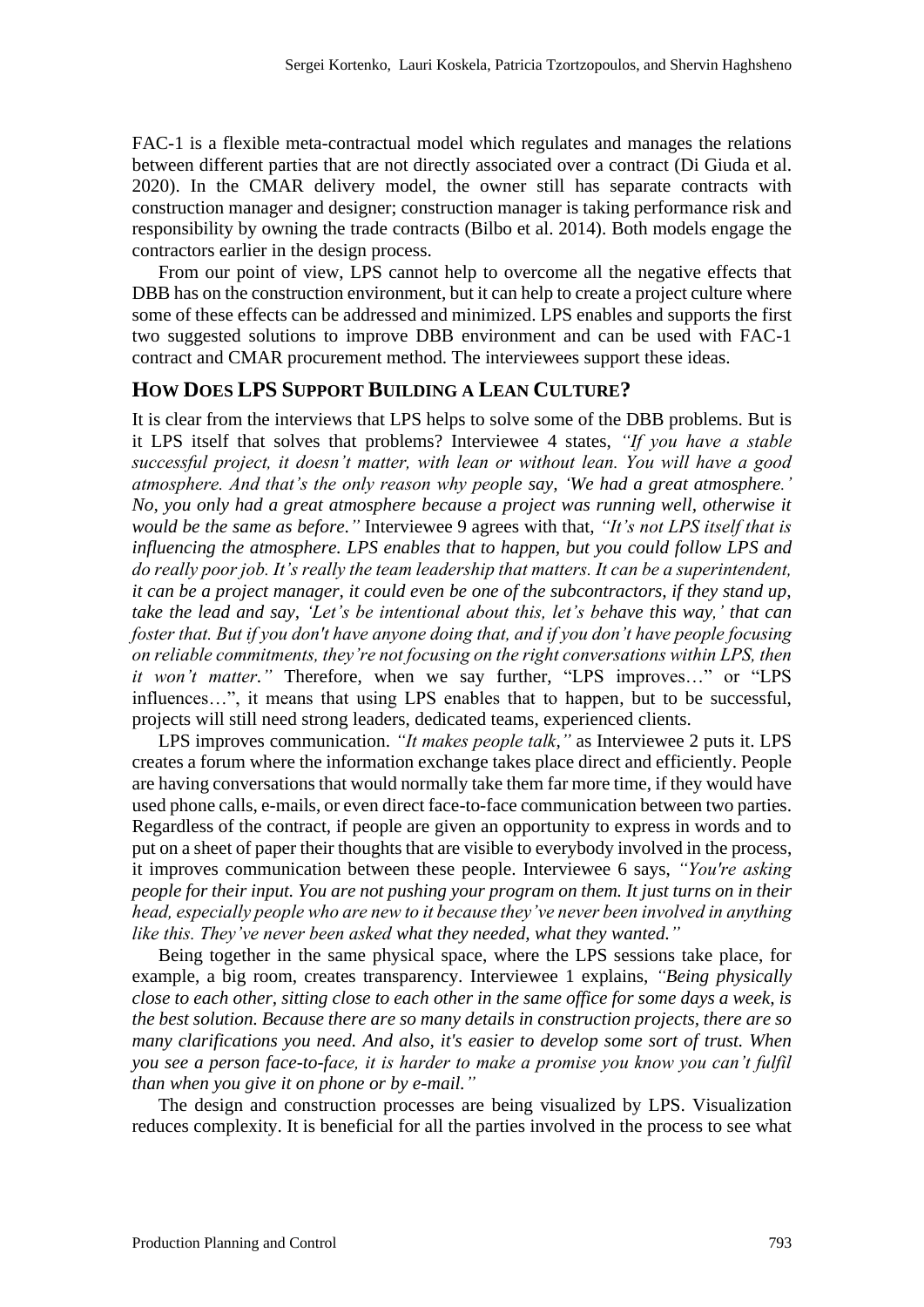FAC-1 is a flexible meta-contractual model which regulates and manages the relations between different parties that are not directly associated over a contract (Di Giuda et al. 2020). In the CMAR delivery model, the owner still has separate contracts with construction manager and designer; construction manager is taking performance risk and responsibility by owning the trade contracts (Bilbo et al. 2014). Both models engage the contractors earlier in the design process.

From our point of view, LPS cannot help to overcome all the negative effects that DBB has on the construction environment, but it can help to create a project culture where some of these effects can be addressed and minimized. LPS enables and supports the first two suggested solutions to improve DBB environment and can be used with FAC-1 contract and CMAR procurement method. The interviewees support these ideas.

#### **HOW DOES LPS SUPPORT BUILDING A LEAN CULTURE?**

It is clear from the interviews that LPS helps to solve some of the DBB problems. But is it LPS itself that solves that problems? Interviewee 4 states, *"If you have a stable successful project, it doesn't matter, with lean or without lean. You will have a good atmosphere. And that's the only reason why people say, 'We had a great atmosphere.' No, you only had a great atmosphere because a project was running well, otherwise it would be the same as before."* Interviewee 9 agrees with that, *"It's not LPS itself that is influencing the atmosphere. LPS enables that to happen, but you could follow LPS and do really poor job. It's really the team leadership that matters. It can be a superintendent, it can be a project manager, it could even be one of the subcontractors, if they stand up, take the lead and say, 'Let's be intentional about this, let's behave this way,' that can foster that. But if you don't have anyone doing that, and if you don't have people focusing on reliable commitments, they're not focusing on the right conversations within LPS, then it won't matter."* Therefore, when we say further, "LPS improves…" or "LPS influences…", it means that using LPS enables that to happen, but to be successful, projects will still need strong leaders, dedicated teams, experienced clients.

LPS improves communication. *"It makes people talk,"* as Interviewee 2 puts it. LPS creates a forum where the information exchange takes place direct and efficiently. People are having conversations that would normally take them far more time, if they would have used phone calls, e-mails, or even direct face-to-face communication between two parties. Regardless of the contract, if people are given an opportunity to express in words and to put on a sheet of paper their thoughts that are visible to everybody involved in the process, it improves communication between these people. Interviewee 6 says, *"You're asking people for their input. You are not pushing your program on them. It just turns on in their head, especially people who are new to it because they've never been involved in anything like this. They've never been asked what they needed, what they wanted."*

Being together in the same physical space, where the LPS sessions take place, for example, a big room, creates transparency. Interviewee 1 explains, *"Being physically close to each other, sitting close to each other in the same office for some days a week, is the best solution. Because there are so many details in construction projects, there are so many clarifications you need. And also, it's easier to develop some sort of trust. When you see a person face-to-face, it is harder to make a promise you know you can't fulfil than when you give it on phone or by e-mail."*

The design and construction processes are being visualized by LPS. Visualization reduces complexity. It is beneficial for all the parties involved in the process to see what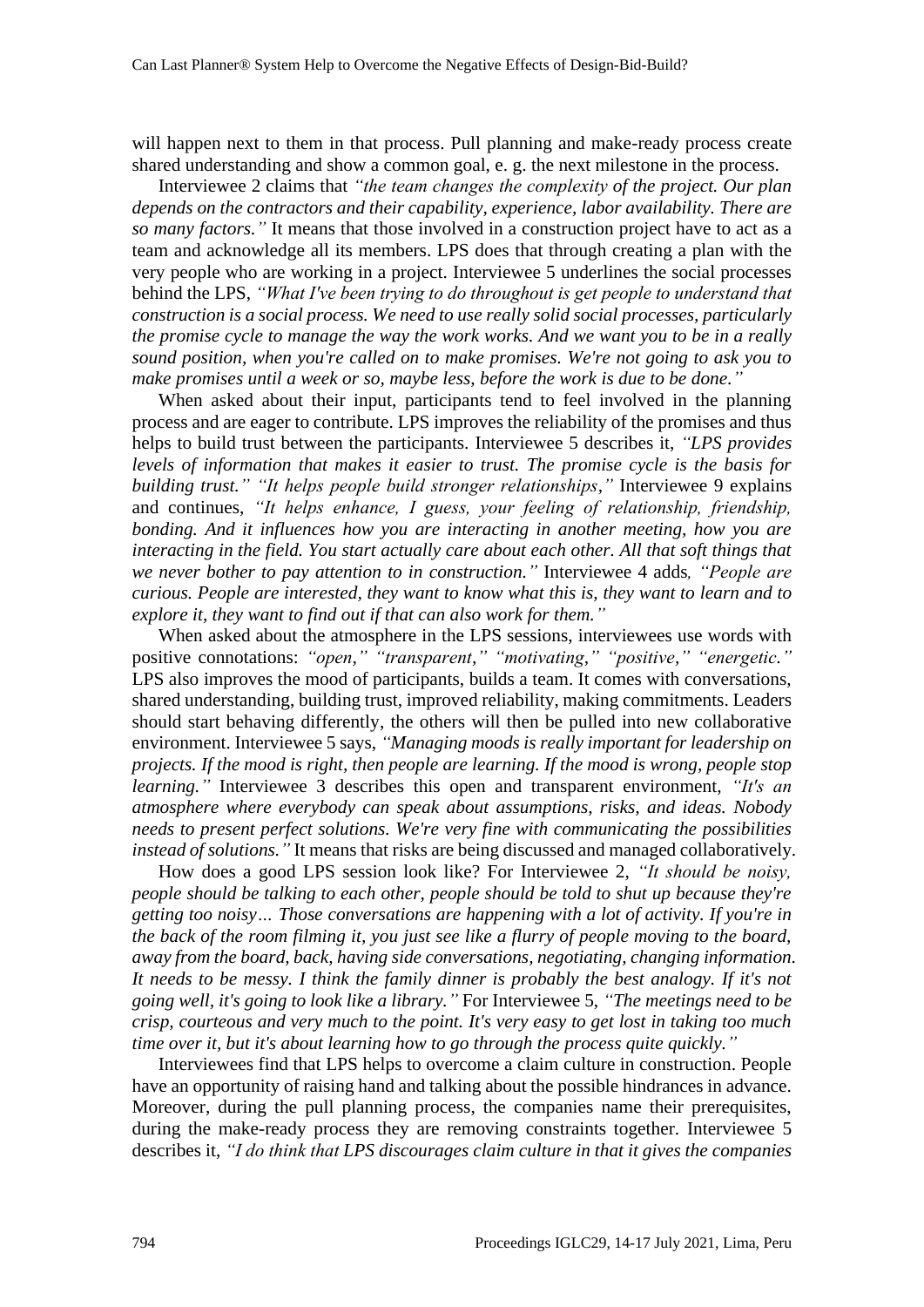will happen next to them in that process. Pull planning and make-ready process create shared understanding and show a common goal, e. g. the next milestone in the process.

Interviewee 2 claims that *"the team changes the complexity of the project. Our plan depends on the contractors and their capability, experience, labor availability. There are so many factors."* It means that those involved in a construction project have to act as a team and acknowledge all its members. LPS does that through creating a plan with the very people who are working in a project. Interviewee 5 underlines the social processes behind the LPS, *"What I've been trying to do throughout is get people to understand that construction is a social process. We need to use really solid social processes, particularly the promise cycle to manage the way the work works. And we want you to be in a really sound position, when you're called on to make promises. We're not going to ask you to make promises until a week or so, maybe less, before the work is due to be done."*

When asked about their input, participants tend to feel involved in the planning process and are eager to contribute. LPS improves the reliability of the promises and thus helps to build trust between the participants. Interviewee 5 describes it, *"LPS provides levels of information that makes it easier to trust. The promise cycle is the basis for building trust." "It helps people build stronger relationships,"* Interviewee 9 explains and continues, *"It helps enhance, I guess, your feeling of relationship, friendship, bonding. And it influences how you are interacting in another meeting, how you are interacting in the field. You start actually care about each other. All that soft things that we never bother to pay attention to in construction."* Interviewee 4 adds*, "People are curious. People are interested, they want to know what this is, they want to learn and to explore it, they want to find out if that can also work for them."*

When asked about the atmosphere in the LPS sessions, interviewees use words with positive connotations: *"open," "transparent," "motivating," "positive," "energetic."* LPS also improves the mood of participants, builds a team. It comes with conversations, shared understanding, building trust, improved reliability, making commitments. Leaders should start behaving differently, the others will then be pulled into new collaborative environment. Interviewee 5 says, *"Managing moods is really important for leadership on projects. If the mood is right, then people are learning. If the mood is wrong, people stop learning."* Interviewee 3 describes this open and transparent environment, *"It's an atmosphere where everybody can speak about assumptions, risks, and ideas. Nobody needs to present perfect solutions. We're very fine with communicating the possibilities instead of solutions."* It means that risks are being discussed and managed collaboratively.

How does a good LPS session look like? For Interviewee 2, *"It should be noisy, people should be talking to each other, people should be told to shut up because they're getting too noisy… Those conversations are happening with a lot of activity. If you're in the back of the room filming it, you just see like a flurry of people moving to the board, away from the board, back, having side conversations, negotiating, changing information. It needs to be messy. I think the family dinner is probably the best analogy. If it's not going well, it's going to look like a library."* For Interviewee 5, *"The meetings need to be crisp, courteous and very much to the point. It's very easy to get lost in taking too much time over it, but it's about learning how to go through the process quite quickly."*

Interviewees find that LPS helps to overcome a claim culture in construction. People have an opportunity of raising hand and talking about the possible hindrances in advance. Moreover, during the pull planning process, the companies name their prerequisites, during the make-ready process they are removing constraints together. Interviewee 5 describes it, *"I do think that LPS discourages claim culture in that it gives the companies*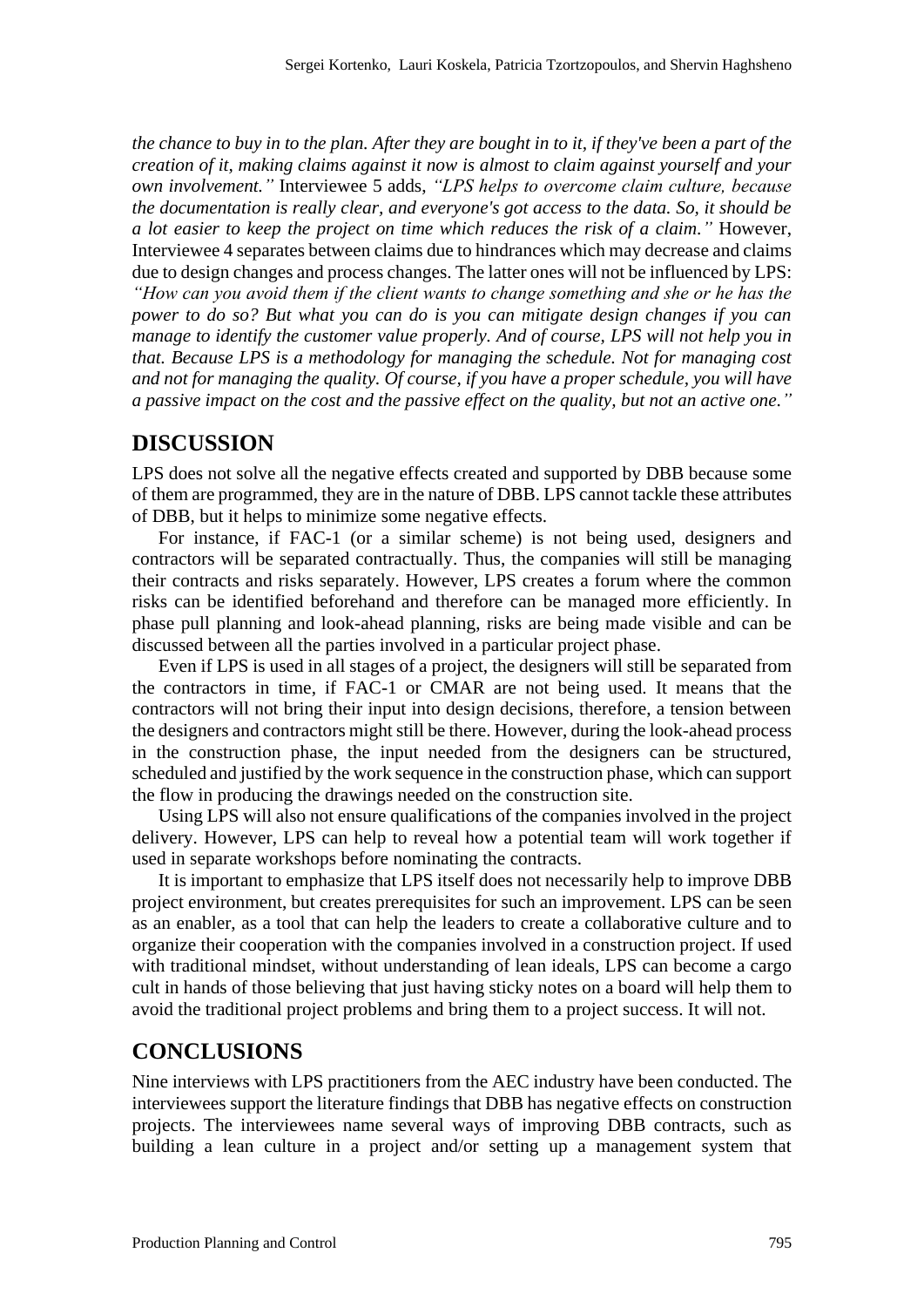*the chance to buy in to the plan. After they are bought in to it, if they've been a part of the creation of it, making claims against it now is almost to claim against yourself and your own involvement."* Interviewee 5 adds, *"LPS helps to overcome claim culture, because the documentation is really clear, and everyone's got access to the data. So, it should be a lot easier to keep the project on time which reduces the risk of a claim."* However, Interviewee 4 separates between claims due to hindrances which may decrease and claims due to design changes and process changes. The latter ones will not be influenced by LPS: *"How can you avoid them if the client wants to change something and she or he has the power to do so? But what you can do is you can mitigate design changes if you can manage to identify the customer value properly. And of course, LPS will not help you in that. Because LPS is a methodology for managing the schedule. Not for managing cost and not for managing the quality. Of course, if you have a proper schedule, you will have a passive impact on the cost and the passive effect on the quality, but not an active one."*

#### **DISCUSSION**

LPS does not solve all the negative effects created and supported by DBB because some of them are programmed, they are in the nature of DBB. LPS cannot tackle these attributes of DBB, but it helps to minimize some negative effects.

For instance, if FAC-1 (or a similar scheme) is not being used, designers and contractors will be separated contractually. Thus, the companies will still be managing their contracts and risks separately. However, LPS creates a forum where the common risks can be identified beforehand and therefore can be managed more efficiently. In phase pull planning and look-ahead planning, risks are being made visible and can be discussed between all the parties involved in a particular project phase.

Even if LPS is used in all stages of a project, the designers will still be separated from the contractors in time, if FAC-1 or CMAR are not being used. It means that the contractors will not bring their input into design decisions, therefore, a tension between the designers and contractors might still be there. However, during the look-ahead process in the construction phase, the input needed from the designers can be structured, scheduled and justified by the work sequence in the construction phase, which can support the flow in producing the drawings needed on the construction site.

Using LPS will also not ensure qualifications of the companies involved in the project delivery. However, LPS can help to reveal how a potential team will work together if used in separate workshops before nominating the contracts.

It is important to emphasize that LPS itself does not necessarily help to improve DBB project environment, but creates prerequisites for such an improvement. LPS can be seen as an enabler, as a tool that can help the leaders to create a collaborative culture and to organize their cooperation with the companies involved in a construction project. If used with traditional mindset, without understanding of lean ideals, LPS can become a cargo cult in hands of those believing that just having sticky notes on a board will help them to avoid the traditional project problems and bring them to a project success. It will not.

#### **CONCLUSIONS**

Nine interviews with LPS practitioners from the AEC industry have been conducted. The interviewees support the literature findings that DBB has negative effects on construction projects. The interviewees name several ways of improving DBB contracts, such as building a lean culture in a project and/or setting up a management system that